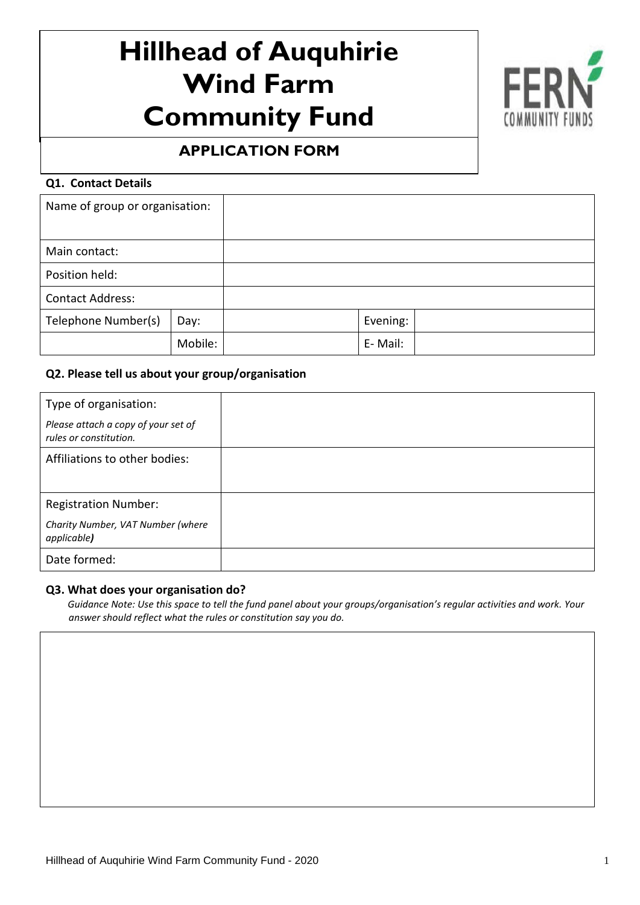# **Hillhead of Auquhirie Wind Farm Community Fund**



# **APPLICATION FORM**

#### $\overline{a}$ **Q1. Contact Details**

| Name of group or organisation: |         |          |  |
|--------------------------------|---------|----------|--|
| Main contact:                  |         |          |  |
| Position held:                 |         |          |  |
| <b>Contact Address:</b>        |         |          |  |
| Telephone Number(s)            | Day:    | Evening: |  |
|                                | Mobile: | E-Mail:  |  |

## **Q2. Please tell us about your group/organisation**

| Type of organisation:                                         |  |
|---------------------------------------------------------------|--|
| Please attach a copy of your set of<br>rules or constitution. |  |
| Affiliations to other bodies:                                 |  |
|                                                               |  |
| <b>Registration Number:</b>                                   |  |
| Charity Number, VAT Number (where<br>applicable)              |  |
| Date formed:                                                  |  |

#### **Q3. What does your organisation do?**

 *Guidance Note: Use this space to tell the fund panel about your groups/organisation's regular activities and work. Your answer should reflect what the rules or constitution say you do.*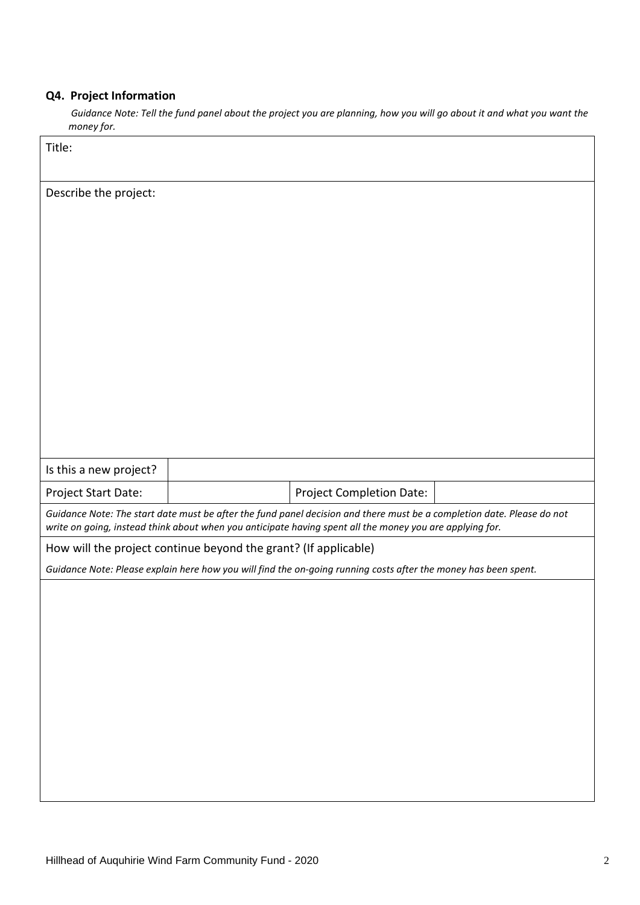# **Q4. Project Information**

 *Guidance Note: Tell the fund panel about the project you are planning, how you will go about it and what you want the money for.*

| Title:                                                          |                                                                                                                                                                                                                                    |  |
|-----------------------------------------------------------------|------------------------------------------------------------------------------------------------------------------------------------------------------------------------------------------------------------------------------------|--|
| Describe the project:                                           |                                                                                                                                                                                                                                    |  |
|                                                                 |                                                                                                                                                                                                                                    |  |
|                                                                 |                                                                                                                                                                                                                                    |  |
|                                                                 |                                                                                                                                                                                                                                    |  |
|                                                                 |                                                                                                                                                                                                                                    |  |
|                                                                 |                                                                                                                                                                                                                                    |  |
|                                                                 |                                                                                                                                                                                                                                    |  |
|                                                                 |                                                                                                                                                                                                                                    |  |
|                                                                 |                                                                                                                                                                                                                                    |  |
|                                                                 |                                                                                                                                                                                                                                    |  |
| Is this a new project?                                          |                                                                                                                                                                                                                                    |  |
| Project Start Date:                                             | Project Completion Date:                                                                                                                                                                                                           |  |
|                                                                 | Guidance Note: The start date must be after the fund panel decision and there must be a completion date. Please do not<br>write on going, instead think about when you anticipate having spent all the money you are applying for. |  |
| How will the project continue beyond the grant? (If applicable) |                                                                                                                                                                                                                                    |  |
|                                                                 | Guidance Note: Please explain here how you will find the on-going running costs after the money has been spent.                                                                                                                    |  |
|                                                                 |                                                                                                                                                                                                                                    |  |
|                                                                 |                                                                                                                                                                                                                                    |  |
|                                                                 |                                                                                                                                                                                                                                    |  |
|                                                                 |                                                                                                                                                                                                                                    |  |
|                                                                 |                                                                                                                                                                                                                                    |  |
|                                                                 |                                                                                                                                                                                                                                    |  |
|                                                                 |                                                                                                                                                                                                                                    |  |
|                                                                 |                                                                                                                                                                                                                                    |  |
|                                                                 |                                                                                                                                                                                                                                    |  |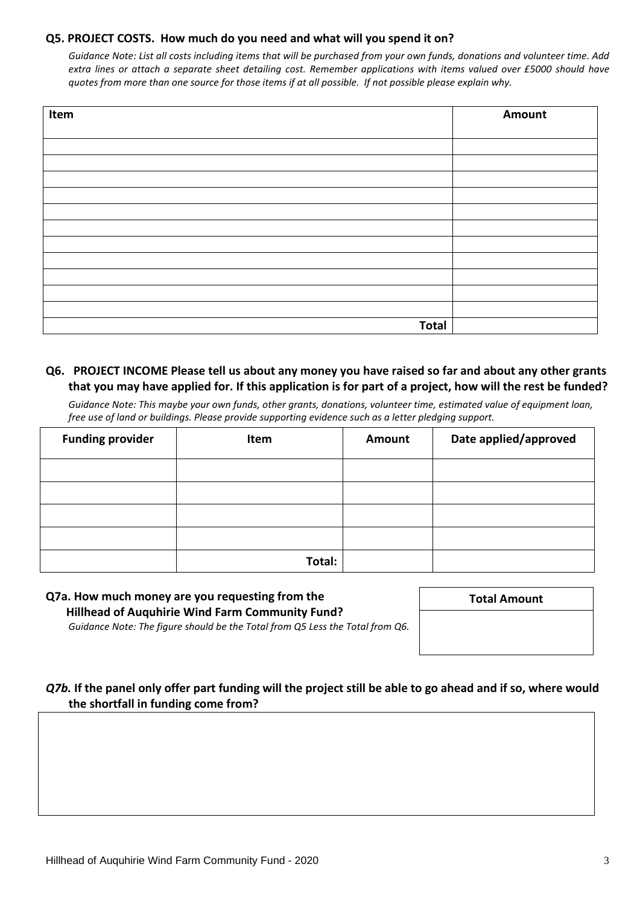#### **Q5. PROJECT COSTS. How much do you need and what will you spend it on?**

*Guidance Note: List all costs including items that will be purchased from your own funds, donations and volunteer time. Add extra lines or attach a separate sheet detailing cost. Remember applications with items valued over £5000 should have quotes from more than one source for those items if at all possible. If not possible please explain why.* 

| Item         | Amount |
|--------------|--------|
|              |        |
|              |        |
|              |        |
|              |        |
|              |        |
|              |        |
|              |        |
|              |        |
|              |        |
|              |        |
|              |        |
|              |        |
| <b>Total</b> |        |

### **Q6. PROJECT INCOME Please tell us about any money you have raised so far and about any other grants that you may have applied for. If this application is for part of a project, how will the rest be funded?**

*Guidance Note: This maybe your own funds, other grants, donations, volunteer time, estimated value of equipment loan, free use of land or buildings. Please provide supporting evidence such as a letter pledging support.*

| <b>Funding provider</b> | Item   | <b>Amount</b> | Date applied/approved |
|-------------------------|--------|---------------|-----------------------|
|                         |        |               |                       |
|                         |        |               |                       |
|                         |        |               |                       |
|                         |        |               |                       |
|                         | Total: |               |                       |

#### **Q7a. How much money are you requesting from the Hillhead of Auquhirie Wind Farm Community Fund?** *Guidance Note: The figure should be the Total from Q5 Less the Total from Q6.*

**Total Amount**

*Q7b.* **If the panel only offer part funding will the project still be able to go ahead and if so, where would the shortfall in funding come from?**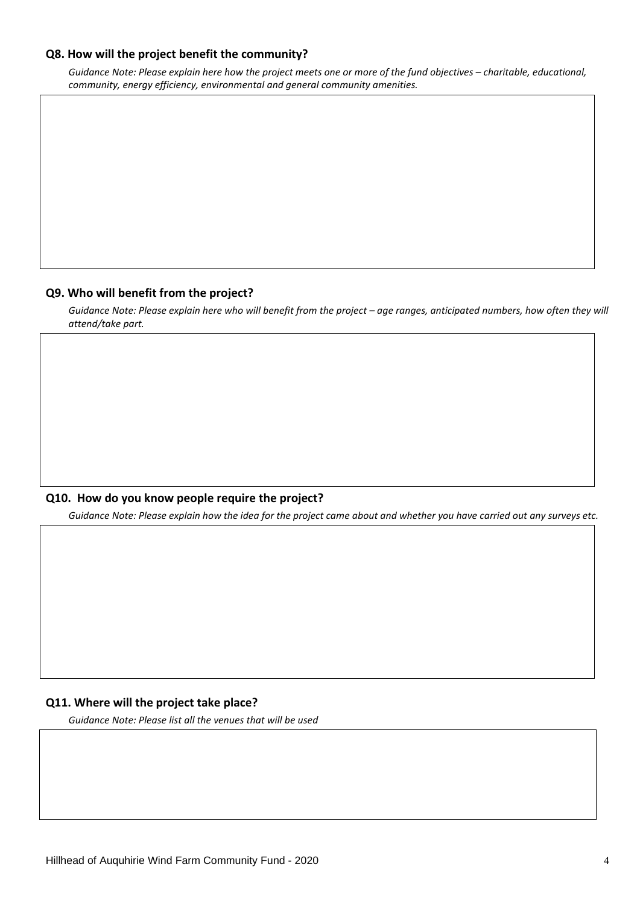#### **Q8. How will the project benefit the community?**

*Guidance Note: Please explain here how the project meets one or more of the fund objectives – charitable, educational, community, energy efficiency, environmental and general community amenities.*

#### **Q9. Who will benefit from the project?**

*Guidance Note: Please explain here who will benefit from the project – age ranges, anticipated numbers, how often they will attend/take part.*

#### **Q10. How do you know people require the project?**

*Guidance Note: Please explain how the idea for the project came about and whether you have carried out any surveys etc.*

#### **Q11. Where will the project take place?**

*Guidance Note: Please list all the venues that will be used*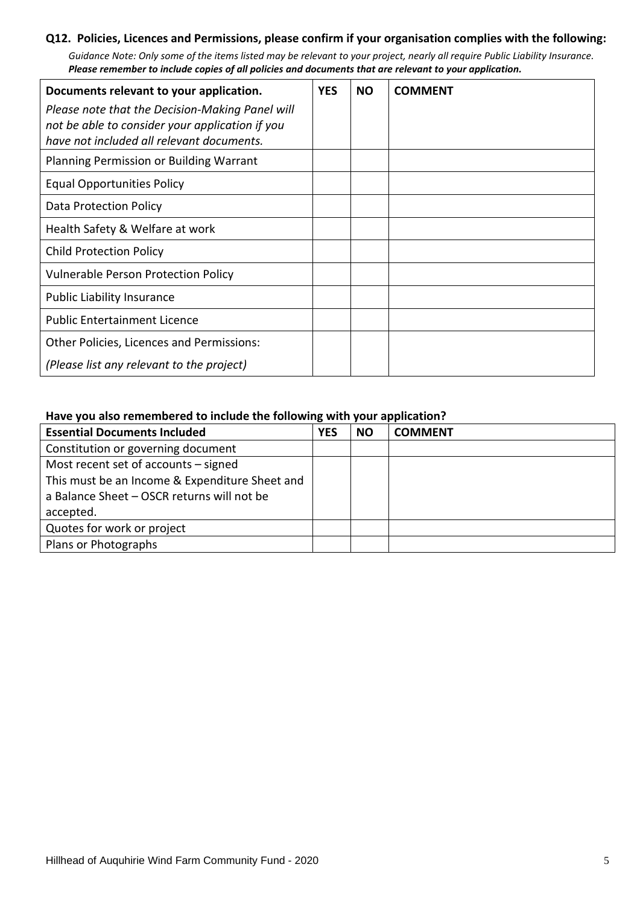#### **Q12. Policies, Licences and Permissions, please confirm if your organisation complies with the following:**

*Guidance Note: Only some of the items listed may be relevant to your project, nearly all require Public Liability Insurance. Please remember to include copies of all policies and documents that are relevant to your application.* 

| Documents relevant to your application.         | <b>YES</b> | <b>NO</b> | <b>COMMENT</b> |
|-------------------------------------------------|------------|-----------|----------------|
| Please note that the Decision-Making Panel will |            |           |                |
| not be able to consider your application if you |            |           |                |
| have not included all relevant documents.       |            |           |                |
| Planning Permission or Building Warrant         |            |           |                |
| <b>Equal Opportunities Policy</b>               |            |           |                |
| Data Protection Policy                          |            |           |                |
| Health Safety & Welfare at work                 |            |           |                |
| <b>Child Protection Policy</b>                  |            |           |                |
| <b>Vulnerable Person Protection Policy</b>      |            |           |                |
| <b>Public Liability Insurance</b>               |            |           |                |
| <b>Public Entertainment Licence</b>             |            |           |                |
| Other Policies, Licences and Permissions:       |            |           |                |
| (Please list any relevant to the project)       |            |           |                |

#### **Have you also remembered to include the following with your application?**

| <b>Essential Documents Included</b>            | <b>YES</b> | <b>NO</b> | <b>COMMENT</b> |  |
|------------------------------------------------|------------|-----------|----------------|--|
| Constitution or governing document             |            |           |                |  |
| Most recent set of accounts - signed           |            |           |                |  |
| This must be an Income & Expenditure Sheet and |            |           |                |  |
| a Balance Sheet - OSCR returns will not be     |            |           |                |  |
| accepted.                                      |            |           |                |  |
| Quotes for work or project                     |            |           |                |  |
| Plans or Photographs                           |            |           |                |  |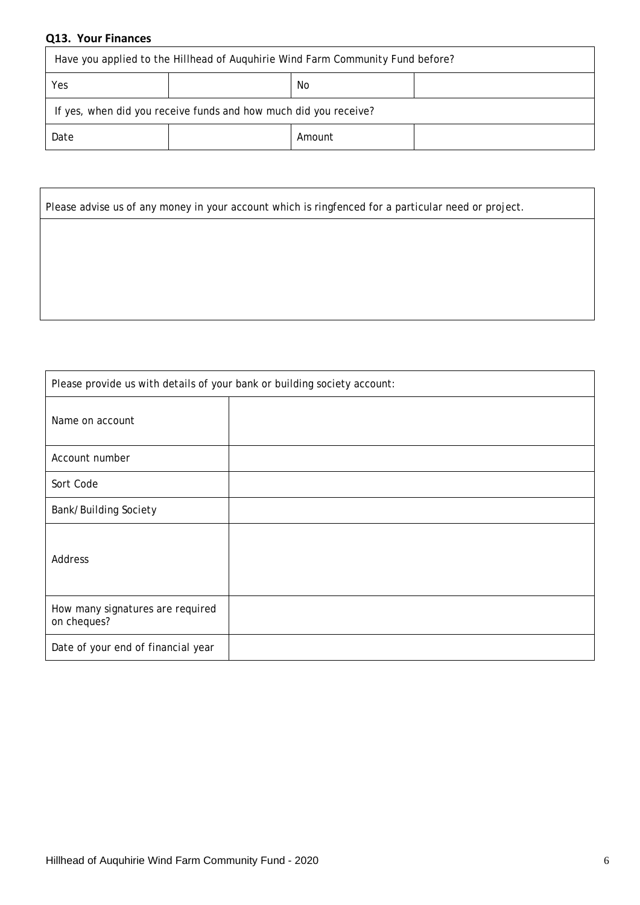# **Q13. Your Finances**

| Have you applied to the Hillhead of Auguhirie Wind Farm Community Fund before? |  |  |  |
|--------------------------------------------------------------------------------|--|--|--|
| Yes<br>No                                                                      |  |  |  |
| If yes, when did you receive funds and how much did you receive?               |  |  |  |
| Date<br>Amount                                                                 |  |  |  |

| Please advise us of any money in your account which is ringfenced for a particular need or project. |
|-----------------------------------------------------------------------------------------------------|
|                                                                                                     |
|                                                                                                     |
|                                                                                                     |
|                                                                                                     |

| Please provide us with details of your bank or building society account: |  |  |
|--------------------------------------------------------------------------|--|--|
| Name on account                                                          |  |  |
| Account number                                                           |  |  |
| Sort Code                                                                |  |  |
| Bank/Building Society                                                    |  |  |
| Address                                                                  |  |  |
| How many signatures are required<br>on cheques?                          |  |  |
| Date of your end of financial year                                       |  |  |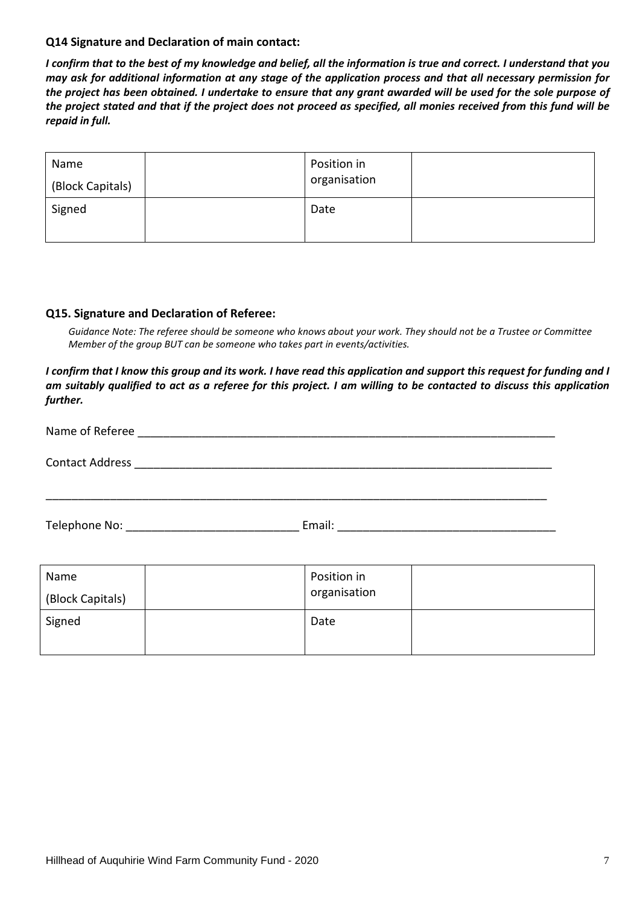#### **Q14 Signature and Declaration of main contact:**

*I confirm that to the best of my knowledge and belief, all the information is true and correct. I understand that you may ask for additional information at any stage of the application process and that all necessary permission for the project has been obtained. I undertake to ensure that any grant awarded will be used for the sole purpose of the project stated and that if the project does not proceed as specified, all monies received from this fund will be repaid in full.*

| Name<br>(Block Capitals) | Position in<br>organisation |  |
|--------------------------|-----------------------------|--|
| Signed                   | Date                        |  |

#### **Q15. Signature and Declaration of Referee:**

Guidance Note: The referee should be someone who knows about your work. They should not be a Trustee or Committee *Member of the group BUT can be someone who takes part in events/activities.*

*I confirm that I know this group and its work. I have read this application and support this request for funding and I am suitably qualified to act as a referee for this project. I am willing to be contacted to discuss this application further.*

| Name of Referee                                                                        |        |
|----------------------------------------------------------------------------------------|--------|
| <b>Contact Address</b><br><u> 1989 - Johann Stein, Amerikaansk politiker (</u> † 1920) |        |
|                                                                                        |        |
| Telephone No:                                                                          | Email: |

| Name<br>(Block Capitals) | Position in<br>organisation |  |
|--------------------------|-----------------------------|--|
| Signed                   | Date                        |  |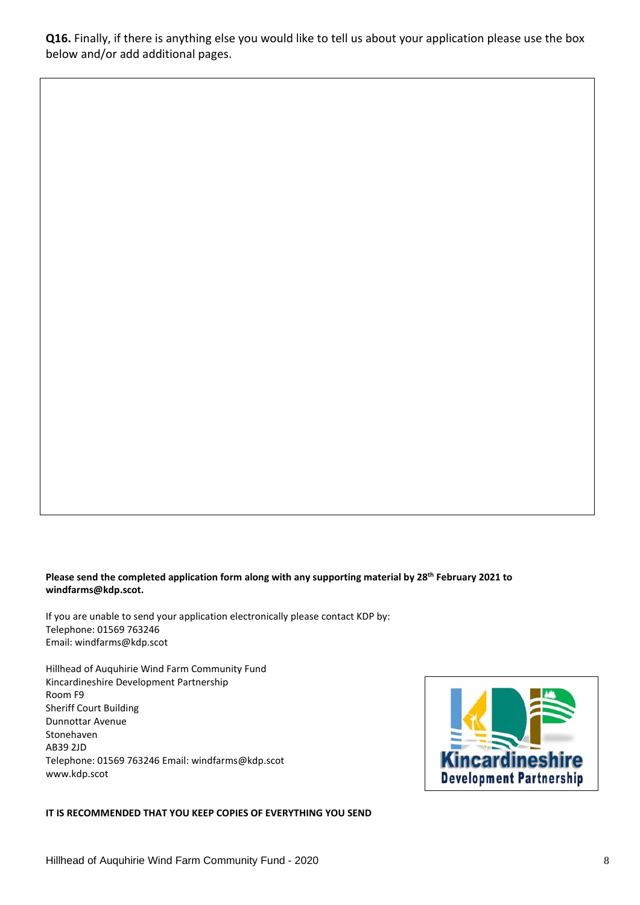**Q16.** Finally, if there is anything else you would like to tell us about your application please use the box below and/or add additional pages.

#### **Please send the completed application form along with any supporting material by 28th February 2021 to windfarms@kdp.scot.**

If you are unable to send your application electronically please contact KDP by: Telephone: 01569 763246 Email: windfarms@kdp.scot

Hillhead of Auquhirie Wind Farm Community Fund Kincardineshire Development Partnership Room F9 Sheriff Court Building Dunnottar Avenue Stonehaven AB39 2JD Telephone: 01569 763246 Email: windfarms@kdp.scot www.kdp.scot



#### **IT IS RECOMMENDED THAT YOU KEEP COPIES OF EVERYTHING YOU SEND**